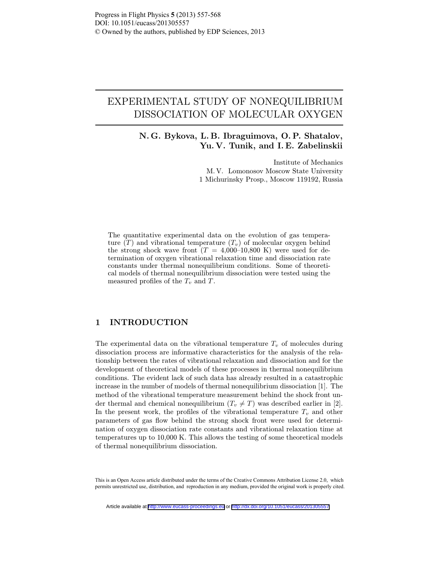# EXPERIMENTAL STUDY OF NONEQUILIBRIUM DISSOCIATION OF MOLECULAR OXYGEN

N. G. Bykova, L. B. Ibraguimova, O. P. Shatalov, Yu. V. Tunik, and I. E. Zabelinskii

> Institute of Mechanics M. V. Lomonosov Moscow State University 1 Michurinsky Prosp., Moscow 119192, Russia

The quantitative experimental data on the evolution of gas temperature  $(T)$  and vibrational temperature  $(T_v)$  of molecular oxygen behind the strong shock wave front  $(T = 4,000-10,800)$  K) were used for determination of oxygen vibrational relaxation time and dissociation rate constants under thermal nonequilibrium conditions. Some of theoretical models of thermal nonequilibrium dissociation were tested using the measured profiles of the  $T_v$  and T.

### 1 INTRODUCTION

The experimental data on the vibrational temperature  $T_v$  of molecules during dissociation process are informative characteristics for the analysis of the relationship between the rates of vibrational relaxation and dissociation and for the development of theoretical models of these processes in thermal nonequilibrium conditions. The evident lack of such data has already resulted in a catastrophic increase in the number of models of thermal nonequilibrium dissociation [1]. The method of the vibrational temperature measurement behind the shock front under thermal and chemical nonequilibrium  $(T_v \neq T)$  was described earlier in [2]. In the present work, the profiles of the vibrational temperature  $T_v$  and other parameters of gas flow behind the strong shock front were used for determination of oxygen dissociation rate constants and vibrational relaxation time at temperatures up to 10,000 K. This allows the testing of some theoretical models of thermal nonequilibrium dissociation.

This is an Open Access article distributed under the terms of the Creative Commons Attribution License 2.0, which permits unrestricted use, distribution, and reproduction in any medium, provided the original work is properly cited.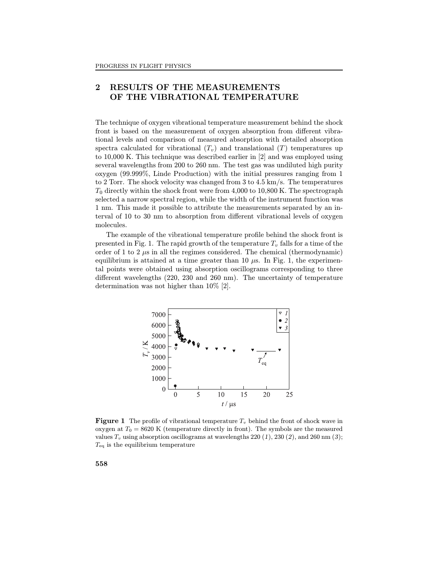# 2 RESULTS OF THE MEASUREMENTS OF THE VIBRATIONAL TEMPERATURE

The technique of oxygen vibrational temperature measurement behind the shock front is based on the measurement of oxygen absorption from different vibrational levels and comparison of measured absorption with detailed absorption spectra calculated for vibrational  $(T_v)$  and translational  $(T)$  temperatures up to 10,000 K. This technique was described earlier in [2] and was employed using several wavelengths from 200 to 260 nm. The test gas was undiluted high purity oxygen (99.999%, Linde Production) with the initial pressures ranging from 1 to 2 Torr. The shock velocity was changed from 3 to 4.5 km/s. The temperatures  $T_0$  directly within the shock front were from 4,000 to 10,800 K. The spectrograph selected a narrow spectral region, while the width of the instrument function was 1 nm. This made it possible to attribute the measurements separated by an interval of 10 to 30 nm to absorption from different vibrational levels of oxygen molecules.

The example of the vibrational temperature profile behind the shock front is presented in Fig. 1. The rapid growth of the temperature  $T_v$  falls for a time of the order of 1 to 2  $\mu$ s in all the regimes considered. The chemical (thermodynamic) equilibrium is attained at a time greater than 10  $\mu$ s. In Fig. 1, the experimental points were obtained using absorption oscillograms corresponding to three different wavelengths  $(220, 230 \text{ and } 260 \text{ nm})$ . The uncertainty of temperature determination was not higher than 10% [2].



**Figure 1** The profile of vibrational temperature  $T_v$  behind the front of shock wave in oxygen at  $T_0 = 8620$  K (temperature directly in front). The symbols are the measured values  $T_v$  using absorption oscillograms at wavelengths 220 (1), 230 (2), and 260 nm (3);  $T_{\text{eq}}$  is the equilibrium temperature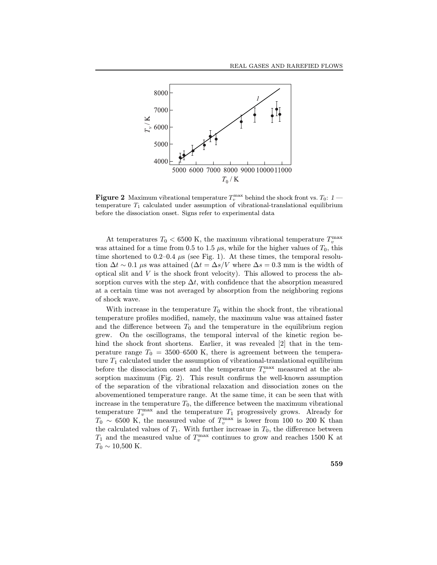

**Figure 2** Maximum vibrational temperature  $T_v^{\text{max}}$  behind the shock front vs.  $T_0$ : 1 – temperature  $T_1$  calculated under assumption of vibrational-translational equilibrium before the dissociation onset. Signs refer to experimental data

At temperatures  $T_0 < 6500$  K, the maximum vibrational temperature  $T_v^{\max}$ was attained for a time from 0.5 to 1.5  $\mu$ s, while for the higher values of  $T_0$ , this time shortened to 0.2–0.4  $\mu$ s (see Fig. 1). At these times, the temporal resolution  $\Delta t \sim 0.1$  µs was attained  $(\Delta t = \Delta s/V$  where  $\Delta s = 0.3$  mm is the width of optical slit and  $V$  is the shock front velocity). This allowed to process the absorption curves with the step  $\Delta t$ , with confidence that the absorption measured at a certain time was not averaged by absorption from the neighboring regions of shock wave.

With increase in the temperature  $T_0$  within the shock front, the vibrational temperature profiles modified, namely, the maximum value was attained faster and the difference between  $T_0$  and the temperature in the equilibrium region grew. On the oscillograms, the temporal interval of the kinetic region behind the shock front shortens. Earlier, it was revealed [2] that in the temperature range  $T_0 = 3500-6500$  K, there is agreement between the temperature  $T_1$  calculated under the assumption of vibrational-translational equilibrium before the dissociation onset and the temperature  $T_v^{\max}$  measured at the absorption maximum (Fig. 2). This result confirms the well-known assumption of the separation of the vibrational relaxation and dissociation zones on the abovementioned temperature range. At the same time, it can be seen that with increase in the temperature  $T_0$ , the difference between the maximum vibrational temperature  $T_v^{\text{max}}$  and the temperature  $T_1$  progressively grows. Already for  $T_0 \sim 6500$  K, the measured value of  $T_v^{\text{max}}$  is lower from 100 to 200 K than the calculated values of  $T_1$ . With further increase in  $T_0$ , the difference between  $T_1$  and the measured value of  $T_v^{\text{max}}$  continues to grow and reaches 1500 K at  $T_0 \sim 10,500$  K.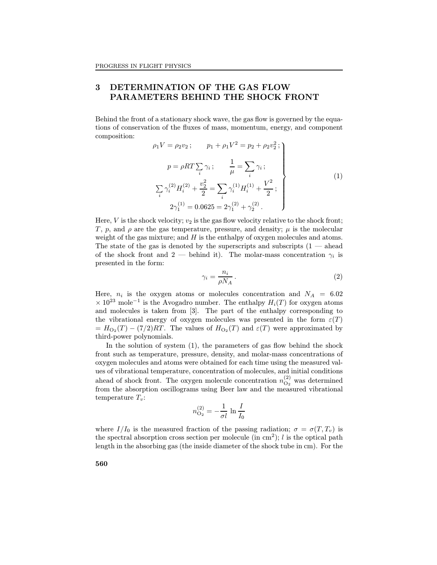## 3 DETERMINATION OF THE GAS FLOW PARAMETERS BEHIND THE SHOCK FRONT

Behind the front of a stationary shock wave, the gas flow is governed by the equations of conservation of the fluxes of mass, momentum, energy, and component composition:

$$
\rho_1 V = \rho_2 v_2 ; \qquad p_1 + \rho_1 V^2 = p_2 + \rho_2 v_2^2 ;
$$
\n
$$
p = \rho R T \sum_i \gamma_i ; \qquad \frac{1}{\mu} = \sum_i \gamma_i ;
$$
\n
$$
\sum_i \gamma_i^{(2)} H_i^{(2)} + \frac{v_2^2}{2} = \sum_i \gamma_i^{(1)} H_i^{(1)} + \frac{V^2}{2} ;
$$
\n
$$
2\gamma_1^{(1)} = 0.0625 = 2\gamma_1^{(2)} + \gamma_2^{(2)} .
$$
\n(1)

Here, V is the shock velocity;  $v_2$  is the gas flow velocity relative to the shock front; T, p, and  $\rho$  are the gas temperature, pressure, and density;  $\mu$  is the molecular weight of the gas mixture; and  $H$  is the enthalpy of oxygen molecules and atoms. The state of the gas is denoted by the superscripts and subscripts  $(1 - \text{ ahead})$ of the shock front and 2 — behind it). The molar-mass concentration  $\gamma_i$  is presented in the form:

$$
\gamma_i = \frac{n_i}{\rho N_A} \,. \tag{2}
$$

Here,  $n_i$  is the oxygen atoms or molecules concentration and  $N_A = 6.02$  $\times 10^{23}$  mole<sup>-1</sup> is the Avogadro number. The enthalpy  $H_i(T)$  for oxygen atoms and molecules is taken from [3]. The part of the enthalpy corresponding to the vibrational energy of oxygen molecules was presented in the form  $\varepsilon(T)$  $= H_{\text{O}_2}(T) - (7/2)RT$ . The values of  $H_{\text{O}_2}(T)$  and  $\varepsilon(T)$  were approximated by third-power polynomials.

In the solution of system  $(1)$ , the parameters of gas flow behind the shock front such as temperature, pressure, density, and molar-mass concentrations of oxygen molecules and atoms were obtained for each time using the measured values of vibrational temperature, concentration of molecules, and initial conditions ahead of shock front. The oxygen molecule concentration  $n_{\text{O}_2}^{(2)}$  $\int_{\mathcal{O}_2}^{(2)}$  was determined from the absorption oscillograms using Beer law and the measured vibrational temperature  $T_v$ :

$$
n_{\text{O}_2}^{(2)} = -\frac{1}{\sigma l} \ln \frac{I}{I_0}
$$

where  $I/I_0$  is the measured fraction of the passing radiation;  $\sigma = \sigma(T, T_v)$  is the spectral absorption cross section per molecule (in  $\text{cm}^2$ ); l is the optical path length in the absorbing gas (the inside diameter of the shock tube in cm). For the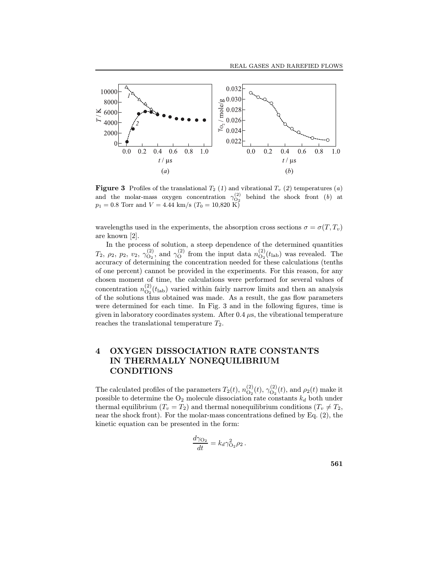

**Figure 3** Profiles of the translational  $T_2$  (1) and vibrational  $T_v$  (2) temperatures (a) and the molar-mass oxygen concentration  $\gamma_{O_2}^{(2)}$ <br>  $p_1 = 0.8$  Torr and  $V = 4.44$  km/s ( $T_0 = 10,820$  K) behind the shock front  $(b)$  at

wavelengths used in the experiments, the absorption cross sections  $\sigma = \sigma(T, T_v)$ are known [2].

In the process of solution, a steep dependence of the determined quantities  $T_2,\ \rho_2,\ p_2,\ v_2,\ \gamma^{(2)}_{\text{O}_2}$  $\mathcal{O}_2^{(2)}$ , and  $\mathcal{O}_Q^{(2)}$  from the input data  $n_{\mathcal{O}_2}^{(2)}$  $\mathcal{O}_2(t_{\text{lab}})$  was revealed. The accuracy of determining the concentration needed for these calculations (tenths of one percent) cannot be provided in the experiments. For this reason, for any chosen moment of time, the calculations were performed for several values of concentration  $n_{\text{O}_2}^{(2)}$  $\frac{Q}{Q_2}(t_{\text{lab}})$  varied within fairly narrow limits and then an analysis of the solutions thus obtained was made. As a result, the gas flow parameters were determined for each time. In Fig. 3 and in the following figures, time is given in laboratory coordinates system. After  $0.4 \mu s$ , the vibrational temperature reaches the translational temperature  $T_2$ .

# 4 OXYGEN DISSOCIATION RATE CONSTANTS IN THERMALLY NONEQUILIBRIUM CONDITIONS

The calculated profiles of the parameters  $T_2(t)$ ,  $n_{\text{O}_2}^{(2)}$  $\mathcal{O}_2^{(2)}(t),\, \mathcal{O}_{\mathcal{O}_2}^{(2)}$  $\mathcal{O}_2^{(2)}(t)$ , and  $\rho_2(t)$  make it possible to determine the  $O_2$  molecule dissociation rate constants  $k_d$  both under thermal equilibrium  $(T_v = T_2)$  and thermal nonequilibrium conditions  $(T_v \neq T_2)$ , near the shock front). For the molar-mass concentrations defined by Eq.  $(2)$ , the kinetic equation can be presented in the form:

$$
\frac{d\gamma_{\text{O}_2}}{dt} = k_d \gamma_{\text{O}_2}^2 \rho_2 \,.
$$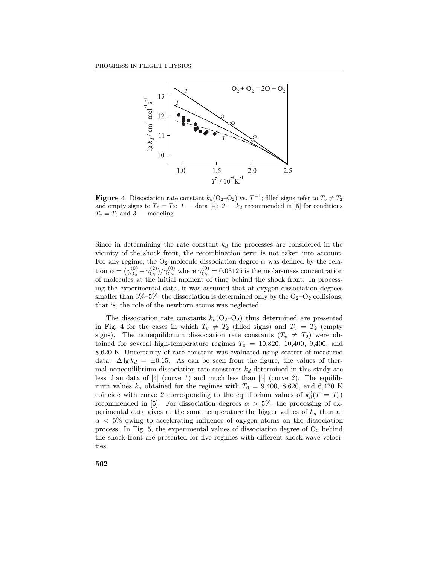

**Figure 4** Dissociation rate constant  $k_d$ (O<sub>2</sub>-O<sub>2</sub>) vs.  $T^{-1}$ ; filled signs refer to  $T_v \neq T_2$ and empty signs to  $T_v = T_2$ :  $1$  — data [4];  $2 - k_d$  recommended in [5] for conditions  $T_v = T$ ; and  $3 -$  modeling

Since in determining the rate constant  $k_d$  the processes are considered in the vicinity of the shock front, the recombination term is not taken into account. For any regime, the  $O_2$  molecule dissociation degree  $\alpha$  was defined by the relation  $\alpha = (\gamma_{\Omega_2}^{(0)})$  $\gamma_{\rm O_2}^{(0)}-\gamma_{\rm O_2}^{(2)}$  $\gamma_{\rm O_2}^{(2)})/\gamma_{\rm O_2}^{(0)}$  where  $\gamma_{\rm O_2}^{(0)}$  $\mathcal{O}_2^{(0)} = 0.03125$  is the molar-mass concentration of molecules at the initial moment of time behind the shock front. In processing the experimental data, it was assumed that at oxygen dissociation degrees smaller than  $3\% - 5\%$ , the dissociation is determined only by the  $O_2-O_2$  collisions, that is, the role of the newborn atoms was neglected.

The dissociation rate constants  $k_d$ ( $O_2-O_2$ ) thus determined are presented in Fig. 4 for the cases in which  $T_v \neq T_2$  (filled signs) and  $T_v = T_2$  (empty signs). The nonequilibrium dissociation rate constants  $(T_v \neq T_2)$  were obtained for several high-temperature regimes  $T_0 = 10,820, 10,400, 9,400,$  and 8,620 K. Uncertainty of rate constant was evaluated using scatter of measured data:  $\Delta \lg k_d = \pm 0.15$ . As can be seen from the figure, the values of thermal nonequilibrium dissociation rate constants  $k_d$  determined in this study are less than data of  $[4]$  (curve 1) and much less than  $[5]$  (curve 2). The equilibrium values  $k_d$  obtained for the regimes with  $T_0 = 9,400, 8,620,$  and 6,470 K coincide with curve 2 corresponding to the equilibrium values of  $k_d^0(T = T_v)$ recommended in [5]. For dissociation degrees  $\alpha > 5\%$ , the processing of experimental data gives at the same temperature the bigger values of  $k_d$  than at  $\alpha < 5\%$  owing to accelerating influence of oxygen atoms on the dissociation process. In Fig. 5, the experimental values of dissociation degree of  $O_2$  behind the shock front are presented for five regimes with different shock wave velocities.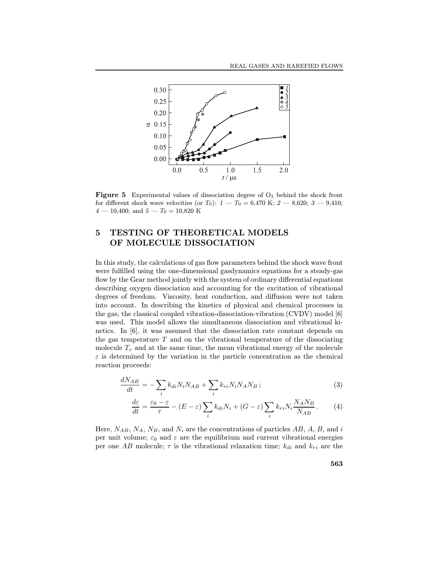

**Figure 5** Experimental values of dissociation degree of  $O_2$  behind the shock front for different shock wave velocities (or  $T_0$ ):  $1 - T_0 = 6,470$  K;  $2 - 8,620$ ;  $3 - 9,410$ ;  $4 - 10,400$ ; and  $5 - T_0 = 10,820$  K

# 5 TESTING OF THEORETICAL MODELS OF MOLECULE DISSOCIATION

In this study, the calculations of gas flow parameters behind the shock wave front were fulfilled using the one-dimensional gasdynamics equations for a steady-gas flow by the Gear method jointly with the system of ordinary differential equations describing oxygen dissociation and accounting for the excitation of vibrational degrees of freedom. Viscosity, heat conduction, and diffusion were not taken into account. In describing the kinetics of physical and chemical processes in the gas, the classical coupled vibration-dissociation-vibration (CVDV) model [6] was used. This model allows the simultaneous dissociation and vibrational kinetics. In [6], it was assumed that the dissociation rate constant depends on the gas temperature  $T$  and on the vibrational temperature of the dissociating molecule  $T_v$  and at the same time, the mean vibrational energy of the molecule  $\varepsilon$  is determined by the variation in the particle concentration as the chemical reaction proceeds:

$$
\frac{dN_{AB}}{dt} = -\sum_{i} k_{di} N_i N_{AB} + \sum_{i} k_{ri} N_i N_A N_B ; \qquad (3)
$$

$$
\frac{d\varepsilon}{dt} = \frac{\varepsilon_0 - \varepsilon}{\tau} - (E - \varepsilon) \sum_i k_{di} N_i + (G - \varepsilon) \sum_i k_{ri} N_i \frac{N_A N_B}{N_{AB}}.
$$
 (4)

Here,  $N_{AB}, N_A, N_B$ , and  $N_i$  are the concentrations of particles AB, A, B, and i per unit volume;  $\varepsilon_0$  and  $\varepsilon$  are the equilibrium and current vibrational energies per one AB molecule;  $\tau$  is the vibrational relaxation time;  $k_{di}$  and  $k_{ri}$  are the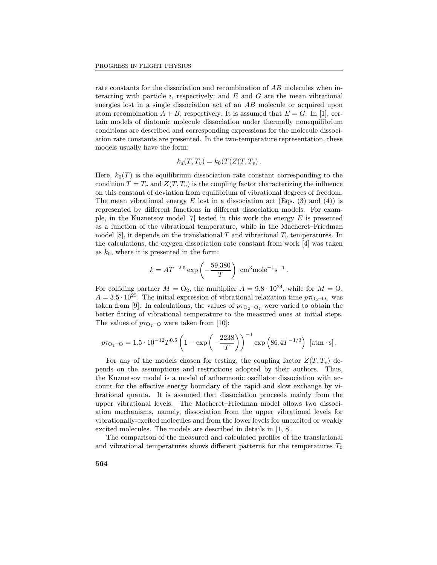rate constants for the dissociation and recombination of AB molecules when interacting with particle i, respectively; and  $E$  and  $G$  are the mean vibrational energies lost in a single dissociation act of an AB molecule or acquired upon atom recombination  $A + B$ , respectively. It is assumed that  $E = G$ . In [1], certain models of diatomic molecule dissociation under thermally nonequilibrium conditions are described and corresponding expressions for the molecule dissociation rate constants are presented. In the two-temperature representation, these models usually have the form:

$$
k_d(T,T_v) = k_0(T)Z(T,T_v).
$$

Here,  $k_0(T)$  is the equilibrium dissociation rate constant corresponding to the condition  $T = T_v$  and  $Z(T, T_v)$  is the coupling factor characterizing the influence on this constant of deviation from equilibrium of vibrational degrees of freedom. The mean vibrational energy  $E$  lost in a dissociation act (Eqs. (3) and (4)) is represented by different functions in different dissociation models. For example, in the Kuznetsov model  $[7]$  tested in this work the energy  $E$  is presented as a function of the vibrational temperature, while in the Macheret–Friedman model [8], it depends on the translational T and vibrational  $T_v$  temperatures. In the calculations, the oxygen dissociation rate constant from work [4] was taken as  $k_0$ , where it is presented in the form:

$$
k = AT^{-2.5} \exp\left(-\frac{59,380}{T}\right) \text{ cm}^3 \text{mole}^{-1} \text{s}^{-1}.
$$

For colliding partner  $M = O_2$ , the multiplier  $A = 9.8 \cdot 10^{24}$ , while for  $M = O$ ,  $A = 3.5 \cdot 10^{25}$ . The initial expression of vibrational relaxation time  $p_{\tau_{\text{O}}-{\text{O}}_2}$  was taken from [9]. In calculations, the values of  $p_{\tau_{\text{O}_2-\text{O}_2}}$  were varied to obtain the better fitting of vibrational temperature to the measured ones at initial steps. The values of  $p_{\tau_{\text{O}_2-\text{O}}}$  were taken from [10]:

$$
p\tau_{\text{O}_2-\text{O}} = 1.5 \cdot 10^{-12} T^{0.5} \left( 1 - \exp\left( -\frac{2238}{T} \right) \right)^{-1} \exp\left( 86.4 T^{-1/3} \right) \text{ [atm·s]}.
$$

For any of the models chosen for testing, the coupling factor  $Z(T, T_v)$  depends on the assumptions and restrictions adopted by their authors. Thus, the Kuznetsov model is a model of anharmonic oscillator dissociation with account for the effective energy boundary of the rapid and slow exchange by vibrational quanta. It is assumed that dissociation proceeds mainly from the upper vibrational levels. The Macheret-Friedman model allows two dissociation mechanisms, namely, dissociation from the upper vibrational levels for vibrationally-excited molecules and from the lower levels for unexcited or weakly excited molecules. The models are described in details in [1, 8].

The comparison of the measured and calculated profiles of the translational and vibrational temperatures shows different patterns for the temperatures  $T_0$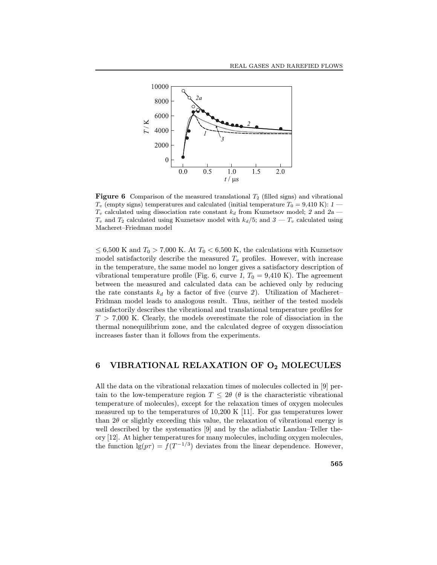

**Figure 6** Comparison of the measured translational  $T_2$  (filled signs) and vibrational  $T_v$  (empty signs) temperatures and calculated (initial temperature  $T_0 = 9,410 \text{ K}$ ): 1  $T_v$  calculated using dissociation rate constant  $k_d$  from Kuznetsov model; 2 and 2a –  $T_v$  and  $T_2$  calculated using Kuznetsov model with  $k_d/5$ ; and  $3 - T_v$  calculated using Macheret-Friedman model

 $\leq$  6,500 K and  $T_0 > 7,000$  K. At  $T_0 < 6,500$  K, the calculations with Kuznetsov model satisfactorily describe the measured  $T_v$  profiles. However, with increase in the temperature, the same model no longer gives a satisfactory description of vibrational temperature profile (Fig. 6, curve 1,  $T_0 = 9,410 \text{ K}$ ). The agreement between the measured and calculated data can be achieved only by reducing the rate constants  $k_d$  by a factor of five (curve 2). Utilization of Macheret-Fridman model leads to analogous result. Thus, neither of the tested models satisfactorily describes the vibrational and translational temperature profiles for  $T > 7,000$  K. Clearly, the models overestimate the role of dissociation in the thermal nonequilibrium zone, and the calculated degree of oxygen dissociation increases faster than it follows from the experiments.

#### 6 VIBRATIONAL RELAXATION OF O<sup>2</sup> MOLECULES

All the data on the vibrational relaxation times of molecules collected in [9] pertain to the low-temperature region  $T \leq 2\theta$  ( $\theta$  is the characteristic vibrational temperature of molecules), except for the relaxation times of oxygen molecules measured up to the temperatures of 10,200 K [11]. For gas temperatures lower than  $2\theta$  or slightly exceeding this value, the relaxation of vibrational energy is well described by the systematics  $[9]$  and by the adiabatic Landau–Teller theory [12]. At higher temperatures for many molecules, including oxygen molecules, the function  $\lg(p\tau) = f(T^{-1/3})$  deviates from the linear dependence. However,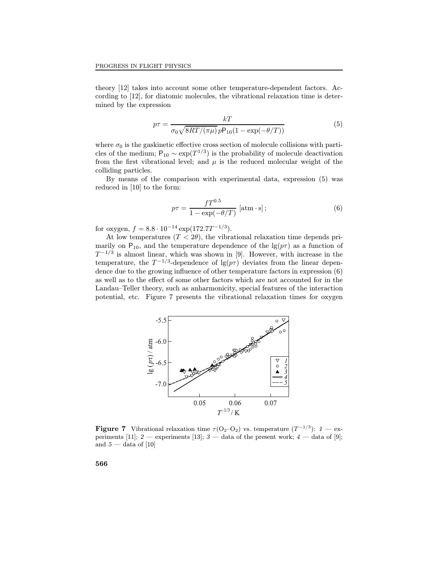theory [12] takes into account some other temperature-dependent factors. According to [12], for diatomic molecules, the vibrational relaxation time is determined by the expression

$$
p\tau = \frac{kT}{\sigma_0 \sqrt{8RT/(\pi\mu)} p\mathsf{P}_{10}(1 - \exp(-\theta/T))}
$$
(5)

where  $\sigma_0$  is the gaskinetic effective cross section of molecule collisions with particles of the medium;  $P_{10} \sim \exp(T^{1/3})$  is the probability of molecule deactivation from the first vibrational level; and  $\mu$  is the reduced molecular weight of the colliding particles.

By means of the comparison with experimental data, expression (5) was reduced in [10] to the form:

$$
p\tau = \frac{fT^{0.5}}{1 - \exp(-\theta/T)} \left[ \text{atm} \cdot \text{s} \right];\tag{6}
$$

for oxygen,  $f = 8.8 \cdot 10^{-14} \exp(172.7T^{-1/3}).$ 

At low temperatures  $(T < 2\theta)$ , the vibrational relaxation time depends primarily on P<sub>10</sub>, and the temperature dependence of the  $\lg(p\tau)$  as a function of  $T^{-1/3}$  is almost linear, which was shown in [9]. However, with increase in the temperature, the  $T^{-1/3}$ -dependence of  $\lg(p\tau)$  deviates from the linear dependence due to the growing influence of other temperature factors in expression  $(6)$ as well as to the effect of some other factors which are not accounted for in the Landau–Teller theory, such as anharmonicity, special features of the interaction potential, etc. Figure 7 presents the vibrational relaxation times for oxygen



**Figure 7** Vibrational relaxation time  $\tau$ (O<sub>2</sub>-O<sub>2</sub>) vs. temperature  $(T^{-1/3})$ : 1 — experiments [11]; 2 — experiments [13]; 3 — data of the present work; 4 — data of [9]; and  $5 -$  data of [10]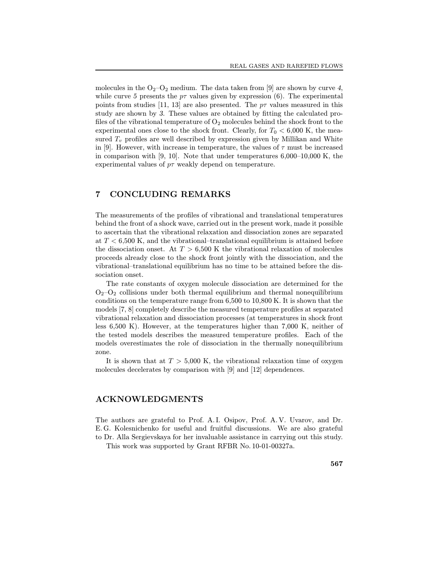molecules in the  $O_2-O_2$  medium. The data taken from [9] are shown by curve 4, while curve 5 presents the  $p\tau$  values given by expression (6). The experimental points from studies [11, 13] are also presented. The  $p\tau$  values measured in this study are shown by 3. These values are obtained by fitting the calculated profiles of the vibrational temperature of  $O_2$  molecules behind the shock front to the experimental ones close to the shock front. Clearly, for  $T_0 < 6,000$  K, the measured  $T_v$  profiles are well described by expression given by Millikan and White in [9]. However, with increase in temperature, the values of  $\tau$  must be increased in comparison with  $[9, 10]$ . Note that under temperatures  $6,000-10,000$  K, the experimental values of  $p\tau$  weakly depend on temperature.

## 7 CONCLUDING REMARKS

The measurements of the profiles of vibrational and translational temperatures behind the front of a shock wave, carried out in the present work, made it possible to ascertain that the vibrational relaxation and dissociation zones are separated at  $T < 6,500$  K, and the vibrational-translational equilibrium is attained before the dissociation onset. At  $T > 6,500$  K the vibrational relaxation of molecules proceeds already close to the shock front jointly with the dissociation, and the vibrational-translational equilibrium has no time to be attained before the dissociation onset.

The rate constants of oxygen molecule dissociation are determined for the  $O_2-O_2$  collisions under both thermal equilibrium and thermal nonequilibrium conditions on the temperature range from 6,500 to 10,800 K. It is shown that the models  $[7, 8]$  completely describe the measured temperature profiles at separated vibrational relaxation and dissociation processes (at temperatures in shock front less 6,500 K). However, at the temperatures higher than 7,000 K, neither of the tested models describes the measured temperature profiles. Each of the models overestimates the role of dissociation in the thermally nonequilibrium zone.

It is shown that at  $T > 5{,}000$  K, the vibrational relaxation time of oxygen molecules decelerates by comparison with [9] and [12] dependences.

#### ACKNOWLEDGMENTS

The authors are grateful to Prof. A. I. Osipov, Prof. A. V. Uvarov, and Dr. E. G. Kolesnichenko for useful and fruitful discussions. We are also grateful to Dr. Alla Sergievskaya for her invaluable assistance in carrying out this study.

This work was supported by Grant RFBR No. 10-01-00327a.